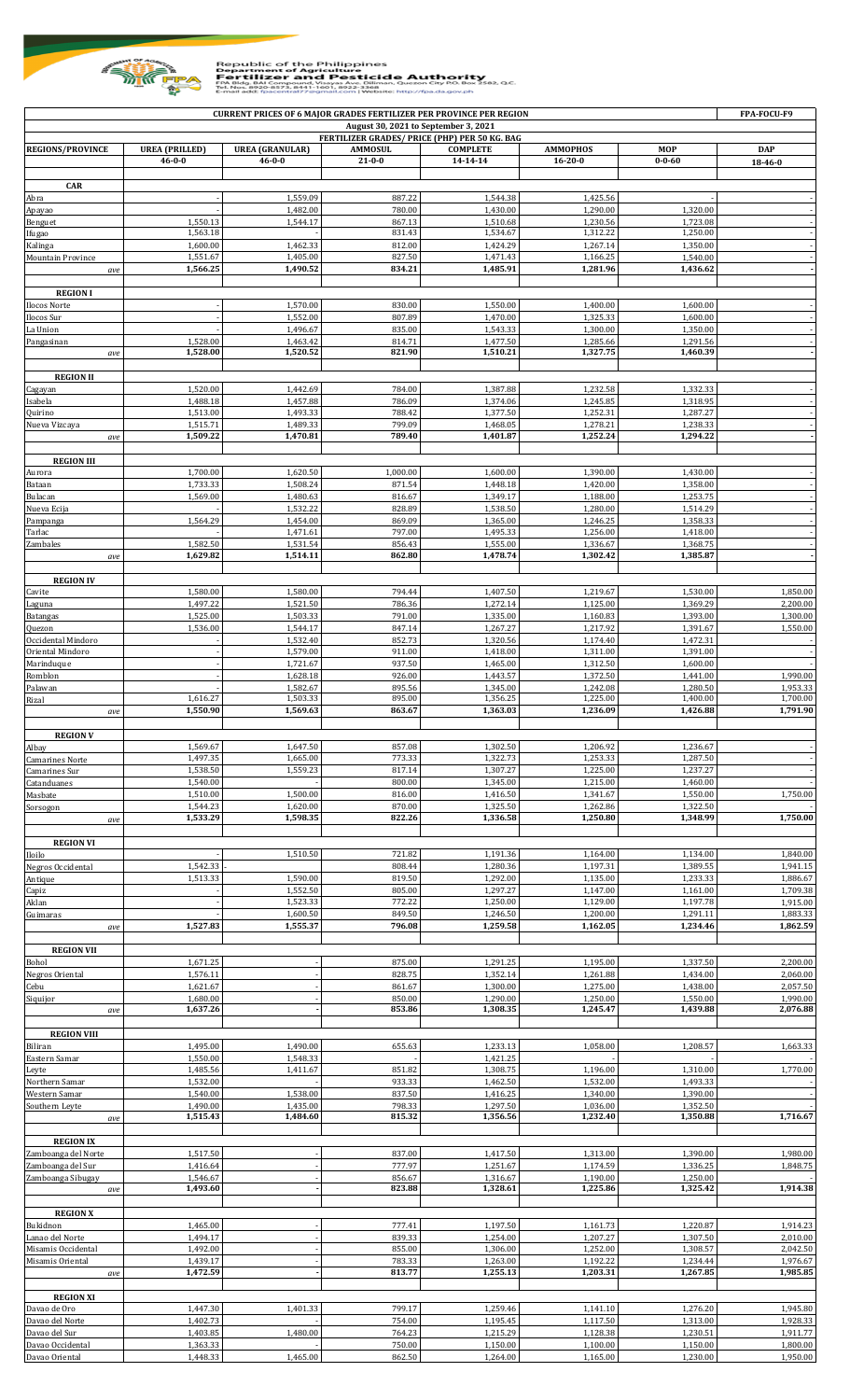

## Republic of the Philippines<br> **EXAMPLE SECTILIZER AUTHORITY**<br> **FOR FINITE SUPPING AUTHORITY**<br>
THE SECTION PROGRAM CORPORATION VEGALE AUTHORITY<br>
THE SECTION CORPORATION VEGALE OF THE SECTION OF THE SECTION OF THE SECTION OF

| <b>CURRENT PRICES OF 6 MAJOR GRADES FERTILIZER PER PROVINCE PER REGION</b><br>FPA-FOCU-F9 |                       |                        |                  |                      |                      |                      |                      |  |  |  |  |
|-------------------------------------------------------------------------------------------|-----------------------|------------------------|------------------|----------------------|----------------------|----------------------|----------------------|--|--|--|--|
| August 30, 2021 to September 3, 2021<br>FERTILIZER GRADES/ PRICE (PHP) PER 50 KG. BAG     |                       |                        |                  |                      |                      |                      |                      |  |  |  |  |
| <b>REGIONS/PROVINCE</b>                                                                   | <b>UREA</b> (PRILLED) | <b>UREA (GRANULAR)</b> | <b>AMMOSUL</b>   | <b>COMPLETE</b>      | <b>AMMOPHOS</b>      | <b>MOP</b>           | <b>DAP</b>           |  |  |  |  |
|                                                                                           | $46 - 0 - 0$          | $46 - 0 - 0$           | $21 - 0 - 0$     | $14 - 14 - 14$       | $16 - 20 - 0$        | $0 - 0 - 60$         | 18-46-0              |  |  |  |  |
|                                                                                           |                       |                        |                  |                      |                      |                      |                      |  |  |  |  |
| <b>CAR</b><br>Abra                                                                        |                       | 1,559.09               | 887.22           | 1,544.38             | 1,425.56             |                      |                      |  |  |  |  |
| Apayao                                                                                    |                       | 1,482.00               | 780.00           | 1,430.00             | 1,290.00             | 1,320.00             |                      |  |  |  |  |
| Benguet                                                                                   | 1,550.13              | 1,544.17               | 867.13           | 1,510.68             | 1,230.56             | 1,723.08             |                      |  |  |  |  |
| Ifugao<br>Kalinga                                                                         | 1,563.18<br>1,600.00  | 1,462.33               | 831.43<br>812.00 | 1,534.67<br>1,424.29 | 1,312.22<br>1,267.14 | 1,250.00<br>1,350.00 |                      |  |  |  |  |
| Mountain Province                                                                         | 1,551.67              | 1,405.00               | 827.50           | 1,471.43             | 1,166.25             | 1,540.00             |                      |  |  |  |  |
| ave                                                                                       | 1,566.25              | 1,490.52               | 834.21           | 1,485.91             | 1,281.96             | 1,436.62             |                      |  |  |  |  |
|                                                                                           |                       |                        |                  |                      |                      |                      |                      |  |  |  |  |
| <b>REGION I</b>                                                                           |                       | 1,570.00               | 830.00           | 1,550.00             | 1,400.00             | 1.600.00             |                      |  |  |  |  |
| Ilocos Norte<br>Ilocos Sur                                                                |                       | 1,552.00               | 807.89           | 1,470.00             | 1,325.33             | 1,600.00             |                      |  |  |  |  |
| La Union                                                                                  |                       | 1,496.67               | 835.00           | 1,543.33             | 1,300.00             | 1,350.00             |                      |  |  |  |  |
| Pangasinan                                                                                | 1,528.00              | 1,463.42               | 814.71           | 1,477.50             | 1,285.66             | 1,291.56             |                      |  |  |  |  |
| ave                                                                                       | 1,528.00              | 1,520.52               | 821.90           | 1,510.21             | 1,327.75             | 1,460.39             |                      |  |  |  |  |
| <b>REGION II</b>                                                                          |                       |                        |                  |                      |                      |                      |                      |  |  |  |  |
| Cagayan                                                                                   | 1,520.00              | 1,442.69               | 784.00           | 1,387.88             | 1,232.58             | 1,332.33             |                      |  |  |  |  |
| Isabela                                                                                   | 1,488.18              | 1,457.88               | 786.09           | 1,374.06             | 1,245.85             | 1,318.95             |                      |  |  |  |  |
| Quirino                                                                                   | 1,513.00<br>1,515.71  | 1,493.33<br>1,489.33   | 788.42<br>799.09 | 1,377.50<br>1,468.05 | 1,252.31<br>1,278.21 | 1,287.27<br>1,238.33 |                      |  |  |  |  |
| Nueva Vizcaya<br>ave                                                                      | 1,509.22              | 1,470.81               | 789.40           | 1,401.87             | 1,252.24             | 1,294.22             |                      |  |  |  |  |
|                                                                                           |                       |                        |                  |                      |                      |                      |                      |  |  |  |  |
| <b>REGION III</b>                                                                         |                       |                        |                  |                      |                      |                      |                      |  |  |  |  |
| Aurora                                                                                    | 1,700.00              | 1,620.50               | 1,000.00         | 1,600.00             | 1,390.00             | 1,430.00             |                      |  |  |  |  |
| Bataan<br>Bulacan                                                                         | 1,733.33<br>1,569.00  | 1,508.24<br>1,480.63   | 871.54<br>816.67 | 1,448.18<br>1,349.17 | 1,420.00<br>1,188.00 | 1,358.00<br>1,253.75 |                      |  |  |  |  |
| Nueva Ecija                                                                               |                       | 1,532.22               | 828.89           | 1,538.50             | 1,280.00             | 1,514.29             |                      |  |  |  |  |
| Pampanga                                                                                  | 1,564.29              | 1,454.00               | 869.09           | 1,365.00             | 1,246.25             | 1,358.33             |                      |  |  |  |  |
| Tarlac                                                                                    |                       | 1,471.61               | 797.00           | 1,495.33             | 1,256.00             | 1,418.00             |                      |  |  |  |  |
| Zambales<br>ave                                                                           | 1,582.50<br>1,629.82  | 1,531.54<br>1,514.11   | 856.43<br>862.80 | 1,555.00<br>1,478.74 | 1,336.67<br>1,302.42 | 1,368.75<br>1,385.87 |                      |  |  |  |  |
|                                                                                           |                       |                        |                  |                      |                      |                      |                      |  |  |  |  |
| <b>REGION IV</b>                                                                          |                       |                        |                  |                      |                      |                      |                      |  |  |  |  |
| Cavite                                                                                    | 1,580.00              | 1,580.00               | 794.44           | 1,407.50             | 1,219.67             | 1,530.00             | 1,850.00             |  |  |  |  |
| Laguna<br><b>Batangas</b>                                                                 | 1,497.22<br>1,525.00  | 1,521.50<br>1,503.33   | 786.36<br>791.00 | 1,272.14<br>1,335.00 | 1,125.00<br>1,160.83 | 1,369.29<br>1,393.00 | 2,200.00<br>1,300.00 |  |  |  |  |
| Quezon                                                                                    | 1,536.00              | 1,544.17               | 847.14           | 1,267.27             | 1,217.92             | 1,391.67             | 1,550.00             |  |  |  |  |
| Occidental Mindoro                                                                        |                       | 1,532.40               | 852.73           | 1,320.56             | 1,174.40             | 1,472.31             |                      |  |  |  |  |
| Oriental Mindoro                                                                          |                       | 1,579.00               | 911.00           | 1,418.00             | 1,311.00             | 1,391.00             |                      |  |  |  |  |
| Marinduque                                                                                |                       | 1,721.67               | 937.50<br>926.00 | 1.465.00             | 1,312.50<br>1,372.50 | 1,600.00             | 1,990.00             |  |  |  |  |
| Romblon<br>Palawan                                                                        |                       | 1,628.18<br>1,582.67   | 895.56           | 1,443.57<br>1,345.00 | 1,242.08             | 1,441.00<br>1,280.50 | 1,953.33             |  |  |  |  |
| Rizal                                                                                     | 1,616.27              | 1,503.33               | 895.00           | 1,356.25             | 1,225.00             | 1,400.00             | 1,700.00             |  |  |  |  |
| ave                                                                                       | 1,550.90              | 1,569.63               | 863.67           | 1,363.03             | 1,236.09             | 1,426.88             | 1,791.90             |  |  |  |  |
|                                                                                           |                       |                        |                  |                      |                      |                      |                      |  |  |  |  |
| <b>REGION V</b><br>Albay                                                                  | 1,569.67              | 1,647.50               | 857.08           | 1,302.50             | 1,206.92             | 1,236.67             |                      |  |  |  |  |
| <b>Camarines Norte</b>                                                                    | 1,497.35              | 1,665.00               | 773.33           | 1,322.73             | 1,253.33             | 1,287.50             |                      |  |  |  |  |
| Camarines Sur                                                                             | 1,538.50              | 1,559.23               | 817.14           | 1,307.27             | 1,225.00             | 1,237.27             |                      |  |  |  |  |
| Catanduanes                                                                               | 1,540.00<br>1,510.00  | 1,500.00               | 800.00<br>816.00 | 1,345.00<br>1,416.50 | 1,215.00<br>1,341.67 | 1,460.00<br>1,550.00 | 1,750.00             |  |  |  |  |
| Masbate<br>Sorsogon                                                                       | 1,544.23              | 1,620.00               | 870.00           | 1,325.50             | 1,262.86             | 1,322.50             |                      |  |  |  |  |
| ave                                                                                       | 1,533.29              | 1,598.35               | 822.26           | 1,336.58             | 1,250.80             | 1,348.99             | 1,750.00             |  |  |  |  |
|                                                                                           |                       |                        |                  |                      |                      |                      |                      |  |  |  |  |
| <b>REGION VI</b><br>Iloilo                                                                |                       | 1,510.50               | 721.82           | 1,191.36             | 1,164.00             | 1,134.00             | 1,840.00             |  |  |  |  |
| Negros Occidental                                                                         | 1,542.33              |                        | 808.44           | 1,280.36             | 1,197.31             | 1,389.55             | 1,941.15             |  |  |  |  |
| Antique                                                                                   | 1,513.33              | 1,590.00               | 819.50           | 1,292.00             | 1,135.00             | 1,233.33             | 1,886.67             |  |  |  |  |
| Capiz                                                                                     |                       | 1,552.50               | 805.00           | 1,297.27             | 1,147.00             | 1,161.00             | 1,709.38             |  |  |  |  |
| Aklan                                                                                     |                       | 1,523.33               | 772.22           | 1,250.00             | 1,129.00             | 1,197.78             | 1,915.00             |  |  |  |  |
| Guimaras<br>ave                                                                           | 1,527.83              | 1,600.50<br>1,555.37   | 849.50<br>796.08 | 1,246.50<br>1,259.58 | 1,200.00<br>1,162.05 | 1,291.11<br>1,234.46 | 1,883.33<br>1,862.59 |  |  |  |  |
|                                                                                           |                       |                        |                  |                      |                      |                      |                      |  |  |  |  |
| <b>REGION VII</b>                                                                         |                       |                        |                  |                      |                      |                      |                      |  |  |  |  |
| Bohol                                                                                     | 1,671.25              |                        | 875.00           | 1,291.25             | 1,195.00             | 1,337.50             | 2,200.00             |  |  |  |  |
| <b>Negros Oriental</b><br>Cebu                                                            | 1,576.11<br>1,621.67  |                        | 828.75<br>861.67 | 1,352.14<br>1,300.00 | 1,261.88<br>1,275.00 | 1,434.00<br>1,438.00 | 2,060.00<br>2,057.50 |  |  |  |  |
| Siquijor                                                                                  | 1,680.00              |                        | 850.00           | 1,290.00             | 1,250.00             | 1,550.00             | 1,990.00             |  |  |  |  |
| ave                                                                                       | 1,637.26              |                        | 853.86           | 1,308.35             | 1,245.47             | 1,439.88             | 2,076.88             |  |  |  |  |
|                                                                                           |                       |                        |                  |                      |                      |                      |                      |  |  |  |  |
| <b>REGION VIII</b><br>Biliran                                                             | 1,495.00              | 1,490.00               | 655.63           | 1,233.13             | 1,058.00             | 1,208.57             | 1,663.33             |  |  |  |  |
| Eastern Samar                                                                             | 1,550.00              | 1,548.33               |                  | 1,421.25             |                      |                      |                      |  |  |  |  |
| Leyte                                                                                     | 1,485.56              | 1,411.67               | 851.82           | 1,308.75             | 1,196.00             | 1,310.00             | 1,770.00             |  |  |  |  |
| Northern Samar                                                                            | 1,532.00              |                        | 933.33           | 1,462.50             | 1,532.00             | 1,493.33             |                      |  |  |  |  |
| Western Samar<br>Southern Leyte                                                           | 1,540.00<br>1,490.00  | 1,538.00<br>1,435.00   | 837.50<br>798.33 | 1,416.25<br>1,297.50 | 1,340.00<br>1,036.00 | 1,390.00<br>1,352.50 |                      |  |  |  |  |
| ave                                                                                       | 1,515.43              | 1,484.60               | 815.32           | 1,356.56             | 1,232.40             | 1,350.88             | 1,716.67             |  |  |  |  |
|                                                                                           |                       |                        |                  |                      |                      |                      |                      |  |  |  |  |
| <b>REGION IX</b>                                                                          |                       |                        |                  |                      |                      |                      |                      |  |  |  |  |
| Zamboanga del Norte<br>Zamboanga del Sur                                                  | 1,517.50<br>1,416.64  |                        | 837.00<br>777.97 | 1,417.50<br>1,251.67 | 1,313.00<br>1,174.59 | 1,390.00<br>1,336.25 | 1,980.00<br>1,848.75 |  |  |  |  |
| Zamboanga Sibugay                                                                         | 1,546.67              |                        | 856.67           | 1,316.67             | 1,190.00             | 1,250.00             |                      |  |  |  |  |
| ave                                                                                       | 1,493.60              |                        | 823.88           | 1,328.61             | 1,225.86             | 1,325.42             | 1,914.38             |  |  |  |  |
|                                                                                           |                       |                        |                  |                      |                      |                      |                      |  |  |  |  |
| <b>REGION X</b>                                                                           |                       |                        |                  |                      |                      |                      |                      |  |  |  |  |
| Bukidnon<br>Lanao del Norte                                                               | 1,465.00<br>1,494.17  |                        | 777.41<br>839.33 | 1,197.50<br>1,254.00 | 1,161.73<br>1,207.27 | 1,220.87<br>1,307.50 | 1,914.23<br>2,010.00 |  |  |  |  |
| Misamis Occidental                                                                        | 1,492.00              |                        | 855.00           | 1,306.00             | 1,252.00             | 1,308.57             | 2,042.50             |  |  |  |  |
| Misamis Oriental                                                                          | 1,439.17              |                        | 783.33           | 1,263.00             | 1,192.22             | 1,234.44             | 1,976.67             |  |  |  |  |
| ave                                                                                       | 1,472.59              |                        | 813.77           | 1,255.13             | 1,203.31             | 1,267.85             | 1,985.85             |  |  |  |  |
| <b>REGION XI</b>                                                                          |                       |                        |                  |                      |                      |                      |                      |  |  |  |  |
| Davao de Oro                                                                              | 1,447.30              | 1,401.33               | 799.17           | 1,259.46             | 1,141.10             | 1,276.20             | 1,945.80             |  |  |  |  |
| Davao del Norte                                                                           | 1,402.73              |                        | 754.00           | 1,195.45             | 1,117.50             | 1,313.00             | 1,928.33             |  |  |  |  |
| Davao del Sur                                                                             | 1,403.85              | 1,480.00               | 764.23           | 1,215.29             | 1,128.38             | 1,230.51             | 1,911.77             |  |  |  |  |
| Davao Occidental<br>Davao Oriental                                                        | 1,363.33<br>1,448.33  | 1,465.00               | 750.00<br>862.50 | 1,150.00<br>1,264.00 | 1,100.00<br>1,165.00 | 1,150.00<br>1,230.00 | 1,800.00<br>1,950.00 |  |  |  |  |
|                                                                                           |                       |                        |                  |                      |                      |                      |                      |  |  |  |  |